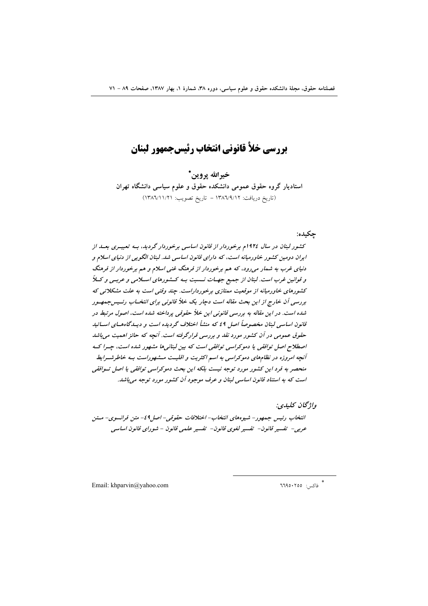بررسي خلأ قانوني انتخاب رئيسجمهور لبنان

خيرالله يروين\* استادیار گروه حقوق عمومی دانشکده حقوق و علوم سیاسی دانشگاه تهران (تاريخ دريافت: ١٣٨٦/٩/١٢ - تاريخ تصويب: ١٣٨٦/١١/٢١)

#### حكىدە:

کشور لبنان در سال ۱۹۲۶م برخوردار از قانون اساسی برخوردار گردید، بـه تعبیــری بعــد از ایران دومین کشور خاورمیانه است، که دارای قانون اساسی شد. لبنان الگویی از دنیای اسلام و دنیای غرب به شمار می رود، که هم برخوردار از فرهنگ غنی اسلام و هم برخوردار از فرهنگ و قوانین غرب است. لبنان از جمیع جهـات نــسبت بـه کــشورهای اسـلامی و عربـی و کـلاً کشورهای خاورمیانه از موقعیت ممتازی برخورداراست. چند وقتی است به علت مشکلاتی که بررسی آن خارج از این بحث مقاله است دچار یک خلأ قانونی برای انتخـاب رئــیسجمهـور شده است. در این مقاله به بررسی قانونی این خلأ حقوقی پرداخته شده است، اصول مرتبط در قانون اساسی لبنان مخصوصاً اصل ٤٩ که منشأ اختلاف گردیده است و دیسدگاههسای اسساتید حقوق عمومی در آن کشور مورد نقد و بررسی قرارگرفته است. آنچه که حائز اهمیت می باشد اصطلاح اصل توافقی یا دموکراسی توافقی است که بین لبنانی ها مشهور شده است، جسرا ک آنچه امروزه در نظامهای دموکراسی به اسم اکثریت و اقلیـت مــشهوراست بـه خاطرشــرایط منحصر به فرد این کشور مورد توجه نیست بلکه این بحث دموکراسی توافقی یا اصل تسوافقی است که به استناد قانون اساسی لبنان و عرف موجود آن کشور مورد توجه می باشد.

واژگان كلېدى: انتخاب رئيس جمهور- شيوههاي انتخاب- اختلافات حقوقي- اصل1 ٤- متن فرانسوي- متن عربي- تفسير قانون- تفسير لغوى قانون- تفسير علمي قانون - شوراي قانون اساسي

Email: khparvin@vahoo.com

\* فاكس: ٦٦٩٥٠٢٥٥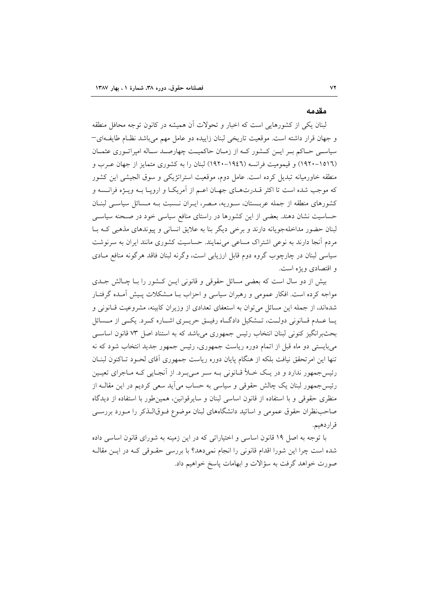#### مقدمه

لبنان یکی از کشورهایی است که اخبار و تحولات اَن همیشه در کانون توجه محافل منطقه و جهان قرار داشته است. موقعیت تاریخی لبنان زاییده دو عامل مهم می باشد نظـام طایف1ی− سیاسـی حـاکم بـر ایـن کـشور کـه از زمـان حاکمیـت چهارصـد سـاله امپراتـوري عثمـان (١٥١٦-١٩٢٠) و قيموميت فرانسه (١٩٤٦-١٩٢٠) لبنان را به كشورى متمايز از جهان عـرب و منطقه خاورمیانه تبدیل کرده است. عامل دوم، موقعیت استراتژیکی و سوق الجیشی این کشور که موجب شده است تا اکثر قــدرتهــای جهــان اعــم از اَمريکــا و ارويــا بــه ويــژه فرانــسه و کشورهای منطقه از جمله عربستان، سوریه، مصر، ایـران نـسبت بـه مـسائل سیاسـی لبنـان حساسیت نشان دهند. بعضی از این کشورها در راستای منافع سیاسی خود در صـحنه سیاسـی لبنان حضور مداخلهجویانه دارند و برخی دیگر بنا به علایق انسانی و پیوندهای مذهبی کـه بـا مردم آنجا دارند به نوعی اشتراک مساعی می نمایند. حساسیت کشوری مانند ایران به سرنوشت سیاسی لبنان در چارچوب گروه دوم قابل ارزیابی است، وگرنه لبنان فاقد هرگونه منافع مـادی و اقتصادی و بژه است.

بیش از دو سال است که بعضی مسائل حقوقی و قانونی ایـن کـشور را بــا چــالش جــدی مواجه کرده است. افکار عمومی و رهبران سیاسی و احزاب بـا مـشکلات پـیش آمـده گرفتـار شدهاند، از جمله این مسائل می توان به استعفای تعدادی از وزیران کابینه، مشروعیت قـانونی و یــا عــدم قــانونی دولــت، تــشکیل دادگــاه رفیــق حریــری اشــاره کــرد. یکــی از مــسائل بحثبرانگیز کنونی لبنان انتخاب رئیس جمهوری میباشد که به استناد اصل ۷۳ قانون اساسی میبایستی دو ماه قبل از اتمام دوره ریاست جمهوری، رئیس جمهور جدید انتخاب شود که نه تنها این امرتحقق نیافت بلکه از هنگام پایان دوره ریاست جمهوری آقای لحـود تـاکنون لبنـان رئیس جمهور ندارد و در یک خـلأ قـانونی بـه سـر مـیبـرد. از آنجـایی کـه مـاجرای تعیـین رئیس جمهور لبنان یک چالش حقوقی و سیاسی به حساب می اَید سعی کردیم در این مقالــه از منظری حقوقی و با استفاده از قانون اساسی لبنان و سایرقوانین، همین طور با استفاده از دیدگاه صاحب نظران حقوق عمومی و اساتید دانشگاههای لبنان موضوع فـوقالـذکر را مـورد بررسـی قراردهيم.

با توجه به اصل ۱۹ قانون اساسی و اختیاراتی که در این زمینه به شورای قانون اساسی داده شده است چرا این شورا اقدام قانونی را انجام نمیدهد؟ با بررسی حقـوقی کـه در ایــن مقالـه صورت خواهد گرفت به سؤالات و ابهامات پاسخ خواهیم داد.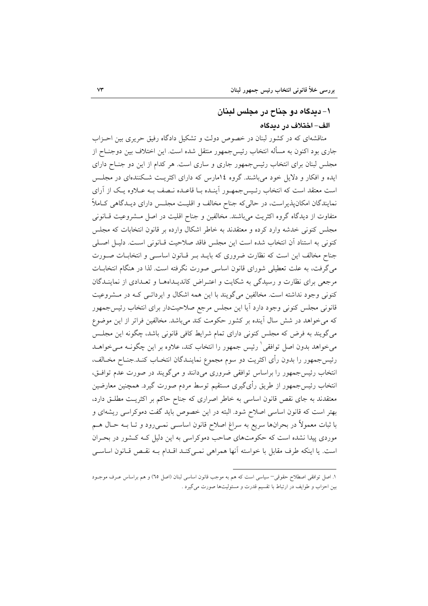# ۱- دیدگاه دو جناح در مجلس لبنان الف– اختلاف در ديدگاه

مناقشهای که در کشور لبنان در خصوص دولت و تشکیل دادگاه رفیق حریری بین احـزاب جاری بود اکنون به مسأله انتخاب رئیس۶جمهور منتقل شده است. این اختلاف بین دوجنــاح از مجلس لبنان برای انتخاب رئیس جمهور جاری و ساری است. هر کدام از این دو جنـاح دارای ایده و افکار و دلایل خود می باشند. گروه ۱۶مارس که دارای اکثریت شکنندهای در مجلس است معتقد است که انتخاب رئـيس جمهـور آينـده بـا قاعـده نـصف بـه عـلاوه يـک از آراي نمایندگان امکان پذیراست، در حالی که جناح مخالف و اقلیـت مجلـس دارای دیـدگاهی کـاملاً متفاوت از دیدگاه گروه اکثریت می باشند. مخالفین و جناح اقلیت در اصل مشروعیت قـانونی مجلس کنونی خدشه وارد کرده و معتقدند به خاطر اشکال وارده بر قانون انتخابات که مجلس كنوني به استناد آن انتخاب شده است اين مجلس فاقد صلاحيت قـانوني اسـت. دليـل اصـلي جناح مخالف این است که نظارت ضروری که بایـد بـر قـانون اساسـی و انتخابـات صـورت میگرفت، به علت تعطیلی شورای قانون اساسی صورت نگرفته است. لذا در هنگام انتخابـات مرجعی برای نظارت و رسیدگی به شکایت و اعتـراض کاندیـداههـا و تعـدادی از نماینـدگان کنونی وجود نداشته است. مخالفین میگویند با این همه اشکال و ایرداتــی کــه در مــشروعیت قانونی مجلس کنونی وجود دارد آیا این مجلس مرجع صلاحیتدار برای انتخاب رئیس جمهور که می خواهد در شش سال آینده بر کشور حکومت کند میباشد. مخالفین فراتر از این موضوع میگویند به فرض که مجلس کنونی دارای تمام شرایط کافی قانونی باشد، چگونه این مجلـس میخواهد بدون اصل توافقی ٰ رئیس جمهور را انتخاب کند، علاوه بر این چگونـه مـیخواهــد رئيس جمهور را بدون رأى اكثريت دو سوم مجموع نماينـدگان انتخـاب كنـد.جنـاح مخـالف، انتخاب رئیس جمهور را براساس توافقی ضروری میدانند و میگویند در صورت عدم توافتی، انتخاب رئیس۶جمهور از طریق رأیگیری مستقیم توسط مردم صورت گیرد. همچنین معارضین معتقدند به جای نقص قانون اساسی به خاطر اصراری که جناح حاکم بر اکثریـت مطلـق دارد، بهتر است که قانون اساسی اصلاح شود. البته در این خصوص باید گفت دموکراسی ریشهای و با ثبات معمولاً در بحرانها سريع به سراغ اصلاح قانون اساسـي نمـي,رود و تــا بــه حــال هــم موردی پیدا نشده است که حکومتهای صاحب دموکراسی به این دلیل کـه کـشور در بحـران است. يا اينكه طرف مقابل با خواسته آنها همراهي نمـي كنـد اقـدام بـه نقـص قـانون اساسـي

١. اصل توافقي اصطلاح حقوقي−سياسي است كه هم به موجب قانون اساسي لبنان (اصل ٦٥) و هم براساس عـرف موجـود بین احزاب و طوایف در ارتباط با تقسیم قدرت و مسئولیتها صورت می گیرد .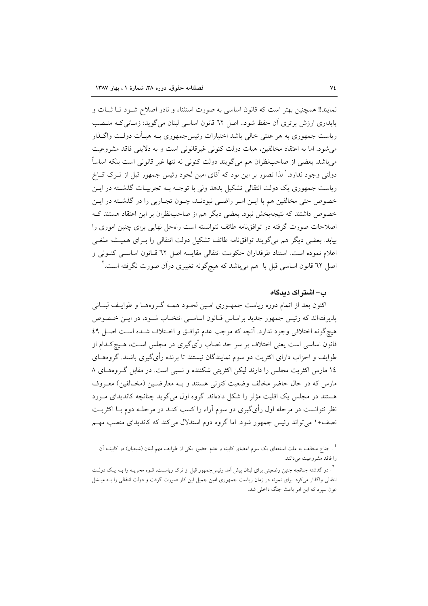نمايند!! همچنين بهتر است كه قانون اساسي به صورت استثناء و نادر اصلاح شـود تـا ثبـات و پایداری ارزش برتری آن حفظ شود.. اصل ٦٢ قانون اساسی لبنان می گوید: زمـانی کـه منـصب ریاست جمهوری به هر علتی خالی باشد اختیارات رئیس جمهوری بــه هیــأت دولــت واگــذار می شود. اما به اعتقاد مخالفین، هیات دولت کنونی غیرقانونی است و به دلایلی فاقد مشروعیت مي باشد. بعضي از صاحب نظران هم مي گويند دولت كنوني نه تنها غير قانوني است بلكه اساساً دولتی وجود ندارد.' لذا تصور بر این بود که آقای امین لحود رئیس جمهور قبل از تــرک کــاخ ریاست جمهوری یک دولت انتقالی تشکیل بدهد ولی با توجـه بـه تجربیـات گذشـته در ایــن خصوص حتی مخالفین هم با ایـن امـر راضـی نبودنـد، چـون تجـاربی را در گذشـته در ایـن خصوص داشتند که نتیجهبخش نبود. بعضی دیگر هم از صاحبنظران بر این اعتقاد هستند ک اصلاحات صورت گرفته در توافق،لمه طائف نتوانسته است راهحل نهایی برای چنین اموری را بیابد. بعضی دیگر هم می گویند توافق،امه طائف تشکیل دولت انتقالی را بـرای همیــشه ملغــی اعلام نموده است. استناد طرفداران حکومت انتقالی مقایسه اصل ٦٢ قــانون اساســی کنــونی و اصل ٦٢ قانون اساسی قبل با هم میباشد که هیچگونه تغییری درآن صورت نگرفته است.<sup>۲</sup>

#### ب– اشتر اک دیدگاہ

اکنون بعد از اتمام دوره ریاست جمهـوری امـین لحـود همـه گـروهمـا و طوایـف لبنـانی پذیرفتهاند که رئیس جمهور جدید براساس قبانون اساسی انتخباب شبود، در ایـن ختصوص هيچگونه اختلافي وجود ندارد. آنچه كه موجب عدم توافـق و اخـتلاف شـده اسـت اصـل ٤٩ قانون اساسی است یعنی اختلاف بر سر حد نصاب رأی\$یری در مجلس اسـت، هـیج≥ـدام از طوایف و احزاب دارای اکثریت دو سوم نمایندگان نیستند تا برنده رأیگیری باشند. گروههـای ١٤ مارس اكثريت مجلس را دارند ليكن اكثريتي شكننده و نسبي است. در مقابل گـروههـاي ٨ مارس كه در حال حاضر مخالف وضعيت كنوني هستند و بـه معارضـين (مخـالفين) معـروف هستند در مجلس یک اقلیت مؤثر را شکل دادهاند. گروه اول میگوید چنانچه کاندیدای مـورد نظر نتوانست در مرحله اول رأىگيرى دو سوم آراء را كسب كنـد در مرحلــه دوم بــا اكثريــت نصف+۱ می تواند رئیس جمهور شود. اما گروه دوم استدلال می کند که کاندیدای منصب مهم

<sup>.&</sup>lt;br><sup>1</sup>. جناح مخالف به علت استعفای یک سوم اعضای کابینه و عدم حضور یک<sub>ی</sub> از طوایف مهم لبنان (شیعیان) در کابینــه اَن را فاقد مشروعيت مي دانند.

<sup>۔&</sup>lt;br><sup>2</sup>. در گذشته چنانچه چنین وضعیتی برای لبنان پیش اَمد رئیس۶جمهور قبل از ترک ریاسـت، قـوه مجریــه را بــه یـک دولــت انتقالی واگذار میکرد. برای نمونه در زمان ریاست جمهوری امین جمیل این کار صورت گرفت و دولت انتقالی را بـه میــشل عون سپرد که این امر باعث جنگ داخلی شد.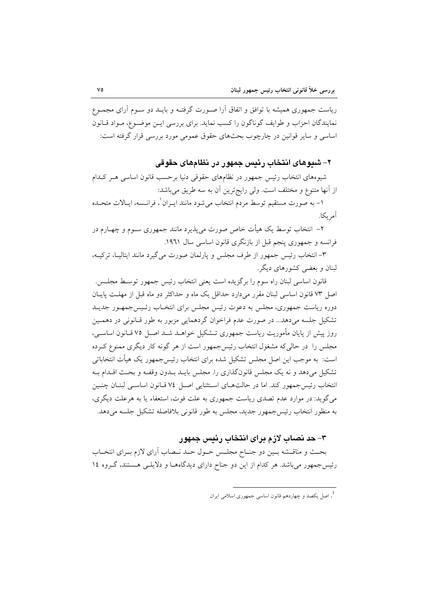ریاست جمهوری همیشه با توافق و اتفاق آرا صـورت گرفتـه و بایــد دو سـوم آرای مجمـوع نمایندگان احزاب و طوایف گوناگون را کسب نماید. برای بررسی این موضوع، مـواد قـانون اساسی و سایر قوانین در چارچوب بحثهای حقوق عمومی مورد بررسی قرار گرفته است:

## ۲– شیوهای انتخاب رئیس جمهور در نظامهای حقوقی

شیوههای انتخاب رئیس جمهور در نظامهای حقوقی دنیا برحسب قانون اساسی هـر کـدام از آنها متنوع و مختلف است. ولي رايج ترين آن به سه طريق ميباشد:

١- به صورت مستقيم توسط مردم انتخاب مي شود مانند ايــران'، فرانــسه، ايــالات متحــده آمر ىكا.

۲– انتخاب توسط یک هیأت خاص صورت می پذیرد مانند جمهوری سـوم و چهــارم در فرانسه و جمهوری پنجم قبل از بازنگری قانون اساسی سال ۱۹۶۱.

٣- انتخاب رئيس جمهور از طرف مجلس و پارلمان صورت مي گيرد مانند ايتاليـا، تركيـه، لبنان و بعضی کشورهای دیگر.

قانون اساسی لبنان راه سوم را برگزیده است یعنی انتخاب رئیس جمهور توسـط مجلـس. اصل ٧٣ قانون اساسی لبنان مقرر میدارد حداقل یک ماه و حداکثر دو ماه قبل از مهلـت پایـان دوره ریاست جمهوری، مجلس به دعوت رئیس مجلس برای انتخـاب رئـیسجمهـور جدیـد تشکیل جلسه میدهد... در صورت عدم فراخوان گردهمایی مزبور به طور قبانونی در دهمین روز پیش از پایان مأموریت ریاست جمهوری تــشکیل خواهــد شــد اصــل ۷۵ قــانون اساســی، مجلس را در حالی که مشغول انتخاب رئیس جمهور است از هر گونه کار دیگری ممنوع کـرده است: به موجب این اصل مجلس تشکیل شده برای انتخاب رئیس جمهور یک هیأت انتخاباتی تشکیل میدهد و نه یک مجلس قانونگذاری را. مجلس بایـد بـدون وقفـه و بحـث اقـدام بـه انتخاب رئيس جمهور كند. اما در حالت هاى استثنايي اصل ٧٤ قـانون اساسـي لبنـان چنـين می گوید: در موارد عدم تصدی ریاست جمهوری به علت فوت، استعفاء یا به هرعلت دیگری، به منظور انتخاب رئيس جمهور جديد، مجلس به طور قانوني بلافاصله تشكيل جلسه مي دهد.

### ۳– حد نصاب لازم برای انتخاب رئیس جمهور

بحث و مناقــشه بــين دو جنــاح مجلــس حــول حــد نــصاب آراي لازم بــراي انتخــاب رئیس جمهور میباشد. هر کدام از این دو جناح دارای دیدگاهها و دلایلـی هـستند، گـروه ۱٤

<sup>.&</sup>lt;br>1. اصا یکصد و چهاردهم قانون اساسی جمهوری اسلامی ایران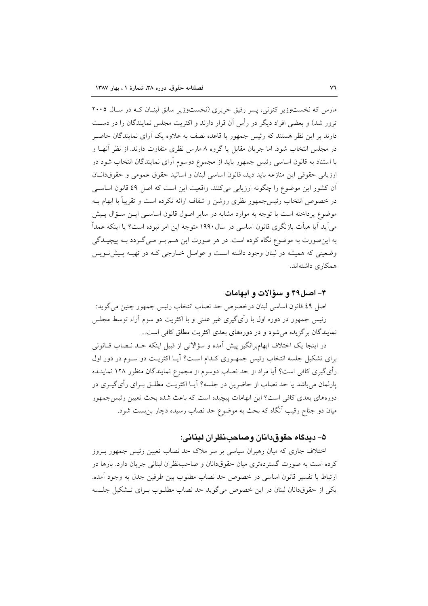مارس که نخستوزیر کنونی، پسر رفیق حریری (نخستوزیر سابق لبنـان کـه در سـال ۲۰۰۵ ترور شد) و بعضی افراد دیگر در رأس آن قرار دارند و اکثریت مجلس نمایندگان را در دست دارند بر این نظر هستند که رئیس جمهور با قاعده نصف به علاوه یک آرای نمایندگان حاضـر در مجلس انتخاب شود. اما جریان مقابل یا گروه ۸ مارس نظری متفاوت دارند. از نظر آنهـا و با استناد به قانون اساسی رئیس جمهور باید از مجموع دوسوم آرای نمایندگان انتخاب شود در ارزيابي حقوقي اين منازعه بايد ديد، قانون اساسي لبنان و اساتيد حقوق عمومي و حقوقدانـان اّن كشور اين موضوع را چگونه ارزيابي ميكنند. واقعيت اين است كه اصل ٤٩ قانون اساسي در خصوص انتخاب رئیس۶جمهور نظری روشن و شفاف ارائه نکرده است و تقریباً با ابهام بــه موضوع پرداخته است با توجه به موارد مشابه در سایر اصول قانون اساسـی ایــن ســؤال پــیش می آید آیا هیأت بازنگری قانون اساسی در سال ۱۹۹۰ متوجه این امر نبوده است؟ یا اینکه عمداً به این صورت به موضوع نگاه کرده است. در هر صورت این هــم بــر مــی گــردد بــه پیچیــدگی وضعیتی که همیشه در لبنان وجود داشته است و عوامـل خـارجی کـه در تهیـه پـیشنـویس همکاری داشتهاند.

#### ۴- اصل۴۹ و سؤالات و ابهامات

اصل ٤٩ قانون اساسي لبنان درخصوص حد نصاب انتخاب رئيس جمهور چنين مي گويد: رئیس جمهور در دوره اول با رأیگیری غیر علنی و با اکثریت دو سوم آراء توسط مجلس نمایندگان برگزیده می شود و در دورههای بعدی اکثریت مطلق کافی است...

در اینجا یک اختلاف ابهامبرانگیز پیش آمده و سؤالاتی از قبیل اینکه حـد نـصاب قــانونی برای تشکیل جلسه انتخاب رئیس جمهـوری کـدام اسـت؟ آیـا اکثریـت دو سـوم در دور اول رأىگيرى كافى است؟ آيا مراد از حد نصاب دوسوم از مجموع نمايندگان منظور ١٢٨ نماينــده يارلمان مي باشد يا حد نصاب از حاضرين در جلسه؟ آيــا اكثريــت مطلــق بــراي رأى گيــري در دورههای بعدی کافی است؟ این ابهامات پیچیده است که باعث شده بحث تعیین رئیس جمهور میان دو جناح رقیب آنگاه که بحث به موضوع حد نصاب رسیده دچار بن بست شود.

### ۵– ديدگاه حقوق،دانان وصاحب نظران ليناني:

اختلاف جاری که میان رهبران سیاسی بر سر ملاک حد نصاب تعیین رئیس جمهور بـروز کرده است به صورت گستردهتری میان حقوقدانان و صاحب نظران لبنانی جریان دارد. بارها در ارتباط با تفسير قانون اساسي در خصوص حد نصاب مطلوب بين طرفين جدل به وجود آمده. یکی از حقوقدانان لبنان در این خصوص می گوید حد نصاب مطلـوب بـرای تــشکیل جلــسه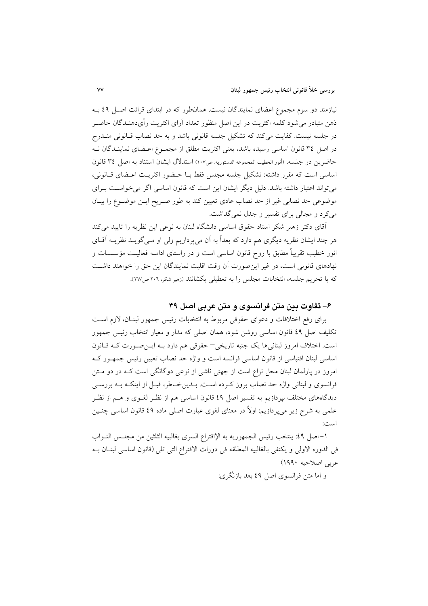نیازمند دو سوم مجموع اعضای نمایندگان نیست. همان طور که در ابتدای قرائت اصل ٤٩ بـه ذهن متبادر میشود کلمه اکثریت در این اصل منظور تعداد آرای اکثریت رأیدهنـدگان حاضـر در جلسه نیست. کفایت میکند که تشکیل جلسه قانونی باشد و به حد نصاب قـانونی منــدرج در اصل ٣٤ قانون اساسي رسيده باشد، يعني اكثريت مطلق از مجمـوع اعـضاي نماينـدگان نــه حاضرين در جلسه. (أنور الخطيب المجموعه الدستوريه. ص١٠٧) استدلال ايشان استناد به اصل ٣٤ قانون اساسی است که مقرر داشته: تشکیل جلسه مجلس فقط بـا حـضور اکثریـت اعـضای قـانونی، می تواند اعتبار داشته باشد. دلیل دیگر ایشان این است که قانون اساسی اگر می خواست بـرای موضوعی حد نصابی غیر از حد نصاب عادی تعیین کند به طور صـریح ایــن موضــوع را بیــان می کرد و مجالی برای تفسیر و جدل نمی گذاشت.

آقای دکتر زهیر شکر استاد حقوق اساسی دانشگاه لبنان به نوعی این نظریه را تایید می کند هر چند ایشان نظریه دیگری هم دارد که بعداً به آن میپردازیم ولی او مـیگویــد نظریــه آقــای انور خطیب تقریباً مطابق با روح قانون اساسی است و در راستای ادامــه فعالیــت مؤســسات و نهادهای قانونی است، در غیر این صورت آن وقت اقلیت نمایندگان این حق را خواهند داشت كه با تحريم جلسه، انتخابات مجلس را به تعطيلي بكشانند (زمير شكر، ٢٠٦ ص٦٦٧).

#### ۶– تفاوت بین متن فرانسوی و متن عربی اصل ۴۹

برای رفع اختلافات و دعوای حقوقی مربوط به انتخابات رئیس جمهور لبنـان، لازم اسـت تکلیف اصل ٤٩ قانون اساسی روشن شود، همان اصلی که مدار و معیار انتخاب رئیس جمهور است. اختلاف امروز لبنانی ها یک جنبه تاریخی - حقوقی هم دارد بـه ایـن صـورت کـه قـانون اساسی لبنان اقتباسی از قانون اساسی فرانسه است و واژه حد نصاب تعیین رئیس جمهور ک امروز در پارلمان لبنان محل نزاع است از جهتی ناشی از نوعی دوگانگی است کـه در دو مـتن فرانسوی و لبنانی واژه حد نصاب بروز کـرده اسـت. بــدین خــاطر، قبــل از اینکــه بــه بررســی دیدگاههای مختلف بیردازیم به تفسیر اصل ٤٩ قانون اساسی هم از نظـر لغـوی و هــم از نظـر علمی به شرح زیر میپردازیم: اولاً در معنای لغوی عبارت اصلی ماده ٤٩ قانون اساسی چنــین است:

١- اصل ٤٩: ينتخب رئيس الجمهوريه به الإاقتراع السرى بغالبيه الثلثين من مجلـس النــواب في الدوره الاولى و يكتفي بالغالبيه المطلقه في دورات الاقتراع التي تلي.(قانون اساسي لبنـان بـه عربي اصلاحيه ١٩٩٠)

و اما متن فرانسوی اصل ٤٩ بعد بازنگری: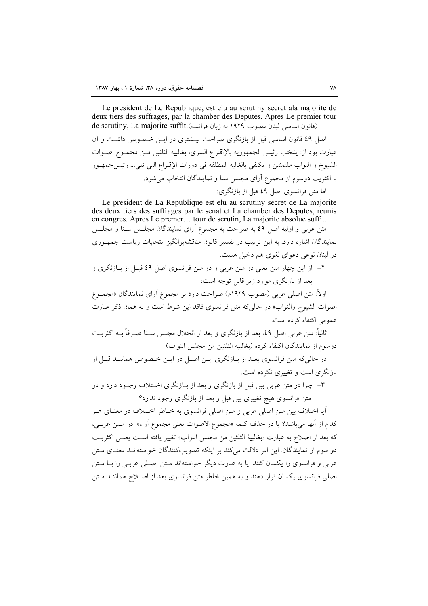Le president de Le Republique, est elu au scrutiny secret ala majorite de deux tiers des suffrages, par la chamber des Deputes. Apres Le premier tour de scrutiny, La majorite suffit. (به زبان فرانسه) de scrutiny, La majorite suffit. اصل ٤٩ قانون اساسي قبل از بازنگري صراحت بيــشتري در ايــن خــصوص داشــت و آن عبارت بود از: ينتخب رئيس الجمهوريه بالإاقتراع السرى، بغالبيه الثلثين مـن مجمـوع اصـوات الشيوخ و النواب ملتمئين و يكتفي بالغاليه المطلقه في دورات الإقتراع التي تلي... رئيس جمهـور با اکثریت دوسوم از مجموع آرای مجلس سنا و نمایندگان انتخاب می شود. اما متن فرانسوی اصل ٤٩ قبل از بازنگری:

Le president de La Republique est elu au scrutiny secret de La majorite des deux tiers des suffrages par le senat et La chamber des Deputes, reunis en congres. Apres Le premer... tour de scrutin, La majorite absolue suffit. متن عربی و اولیه اصل ٤٩ به صراحت به مجموع آرای نمایندگان مجلـس سـنا و مجلـس نمایندگان اشاره دارد. به این ترتیب در تفسیر قانون مناقشهبرانگیز انتخابات ریاست جمهـوری در لبنان نوعی دعوای لغوی هم دخیل هست.

۲– از این چهار متن یعنی دو متن عربی و دو متن فرانسوی اصل ٤٩ قبـل از بـازنگری و بعد از بازنگری موارد زیر قابل توجه است:

اولاً: متن اصلي عربي (مصوب ١٩٢٩م) صراحت دارد بر مجموع آراي نمايندگان «مجمـوع اصوات الشيوخ والنواب» در حالي كه متن فرانسوي فاقد اين شرط است و به همان ذكر عبارت عمومی اکتفاء کردہ است.

ثانیاً: متن عربی اصل ٤٩، بعد از بازنگری و بعد از انحلال مجلس سـنا صــرفاً بــه اکثریــت دوسوم از نمايندگان اكتفاء كرده (بغالبيه الثلثين من مجلس النواب)

در حالي كه متن فرانسوي بعـد از بــازنگري ايــن اصــل در ايــن خــصوص هماننــد قبــل از بازنگری است و تغییری نکرده است.

۳- چرا در متن عربی بین قبل از بازنگری و بعد از بیازنگری اختلاف وجبود دارد و در متن فرانسوی هیچ تغییری بین قبل و بعد از بازنگری وجود ندارد؟

آیا اختلاف بین متن اصلی عربی و متن اصلی فرانسوی به خـاطر اخــتلاف در معنــای هــر كدام از آنها مي باشد؟ يا در حذف كلمه «مجموع الاصوات يعني مجموع أراء». در مـتن عربـي، كه بعد از اصلاح به عبارت «بغالبيهٔ الثلثين من مجلس النواب» تغيير يافته است يعنبي اكثريت دو سوم از نمایندگان. این امر دلالت می کند بر اینکه تصویبکنندگان خواستهانـد معنـای مـتن عربی و فرانسوی را یکسان کنند. یا به عبارت دیگر خواستهاند مـتن اصـلی عربـی را بــا مـتن اصلی فرانسوی یکسان قرار دهند و به همین خاطر متن فرانسوی بعد از اصـلاح هماننــد مــتن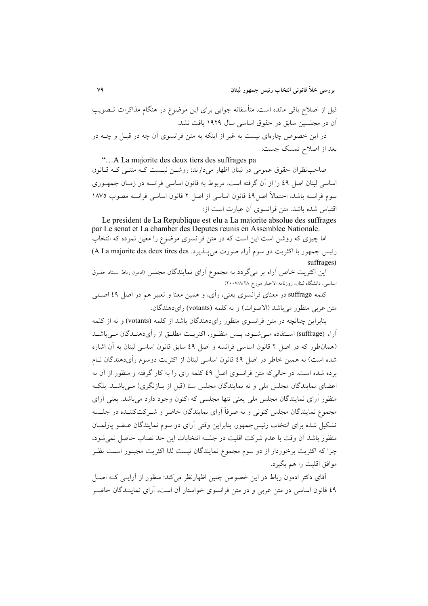قبل از اصلاح باقی مانده است. متأسفانه جوابی برای این موضوع در هنگام مذاکرات تــصویب آن در مجلسین سابق در حقوق اساسی سال ۱۹۲۹ یافت نشد.

در این خصوص چارهای نیست به غیر از اینکه به متن فرانسوی آن چه در قبـل و چــه در بعد از اصلاح تمسک جست:

"...A La majorite des deux tiers des suffrages pa صاحب نظران حقوق عمومی در لبنان اظهار میدارند: روشــن نیـست کــه متنــی کــه قــانون اساسی لبنان اصل ٤٩ را از آن گرفته است. مربوط به قانون اساسی فرانسه در زمـان جمهـوری سوم فرانسه باشد، احتمالاً اصل8 ً قانون اساسی از اصل ٢ قانون اساسی فرانسه مصوب ١٨٧٥ اقتباس شده باشد. متن فرانسوی آن عبارت است از:

Le president de La Republique est elu a La majorite absolue des suffrages par Le senat et La chamber des Deputes reunis en Assemblee Nationale. اما چیزی که روشن است این است که در متن فرانسوی موضوع را معین نموده که انتخاب رئيس جمهور با اكثريت دو سوم آراء صورت مي پــذير د. A La majorite des deux tires des) suffrages)

.<br>این اکثریت خاص آراء بر میگردد به مجموع آرای نمایندگان مجلس «دمون رباط استاد حقـوق اساسی، دانشگاه لبنان، روزنامه الاخبار مورخ ۲۰۰۷/۸/۲۸)

کلمه suffrage در معنای فرانسوی یعنی، رأی، و همین معنا و تعبیر هم در اصل ٤٩ اصـلـی متن عربي منظور مي باشد (الاصوات) و نه كلمه (votants) راي دهندگان.

بنابراین چنانچه در متن فرانسوی منظور رایدهندگان باشد از کلمه (votants) و نه از کلمه آراء (suffrage) اســتفاده مــي شــود، پــس منظــور، اكثريــت مطلــق از رأىدهنــدگان مــي.باشــد (همان طور كه در اصل ٢ قانون اساسى فرانسه و اصل ٤٩ سابق قانون اساسى لبنان به آن اشاره شده است) به همین خاطر در اصل ٤٩ قانون اساسی لبنان از اکثریت دوسوم رأىدهندگان نــام برده شده است. در حالی که متن فرانسوی اصل ٤٩ کلمه رای را به کار گرفته و منظور از آن نه اعضای نمایندگان مجلس ملی و نه نمایندگان مجلس سنا (قبل از بـازنگری) مـیباشـد. بلکـه منظور آرای نمایندگان مجلس ملی یعنی تنها مجلسی که اکنون وجود دارد می باشد. یعنی آرای مجموع نمایندگان مجلس کنونی و نه صرفاً آرای نمایندگان حاضر و شبرکتکننیده در جلسه تشکیل شده برای انتخاب رئیس جمهور. بنابراین وقتی آرای دو سوم نمایندگان عـضو پارلمــان منظور باشد أن وقت با عدم شركت اقليت در جلسه انتخابات اين حد نصاب حاصل نمى شود، چرا که اکثریت برخوردار از دو سوم مجموع نمایندگان نیست لذا اکثریت مجبـور اسـت نظـر موافق اقليت را هم بگيرد.

۔<br>آقای دکتر ادمون رباط در این خصوص چنین اظهارنظر میکند: منظور از آرایسی کـه اصــل ٤٩ قانون اساسي در متن عربي و در متن فرانسوي خواستار أن است، أراى نماينـدگان حاضـر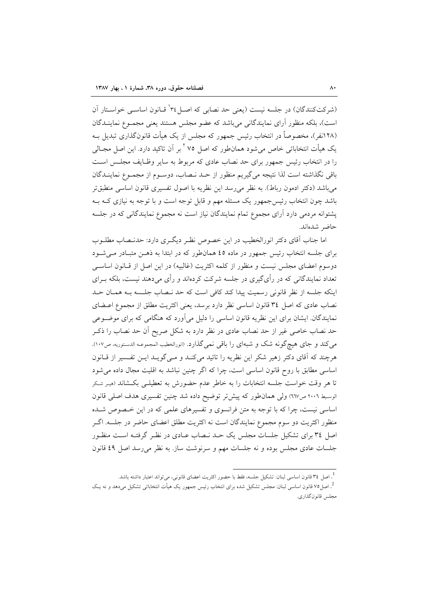(شرکتکنندگان) در جلسه نیست (یعنی حد نصابی که اصـل۲۴ قـانون اساسـی خواسـتار آن است)، بلکه منظور آرای نمایندگانی می باشد که عضو مجلس هستند یعنی مجمـوع نماینــدگان (۱۲۸نفر)، مخصوصاً در انتخاب رئیس جمهور که مجلس از یک هیأت قانونگذاری تبدیل بـه یک هیأت انتخاباتی خاص میشود همانطور که اصل ۷۵ <sup>۲</sup> بر آن تاکید دارد. این اصل مجــالی را در انتخاب رئیس جمهور برای حد نصاب عادی که مربوط به سایر وظـایف مجلـس اسـت باقي نگذاشته است لذا نتيجه مي گيريم منظور از حـد نــصاب، دوســوم از مجمــوع نماينــدگان می باشد (دکتر ادمون رباط). به نظر می رسد این نظریه با اصول تفسیری قانون اساسی منطبق تر باشد چون انتخاب رئیس جمهور یک مسئله مهم و قابل توجه است و با توجه به نیازی کـه بـه پشتوانه مردمی دارد آرای مجموع تمام نمایندگان نیاز است نه مجموع نمایندگانی که در جلسه حاضر شدهاند.

اما جناب آقای دکتر انورالخطیب در این خصوص نظـر دیگـری دارد: حدنـصاب مطلـوب برای جلسه انتخاب رئیس جمهور در ماده ٤٥ همانطور که در ابتدا به ذهـن متبـادر مـیشـود دوسوم اعضای مجلس نیست و منظور از کلمه اکثریت (غالبیه) در این اصل از قـانون اساسـی تعداد نمایندگانی که در رأیگیری در جلسه شرکت کردهاند و رأی میدهند نیست، بلکه بــرای اینکه جلسه از نظر قانونی رسمیت پیدا کند کافی است که حد نـصاب جلـسه بـه همـان حـد نصاب عادی که اصل ٣٤ قانون اساسی نظر دارد برسد، یعنی اکثریت مطلق از مجموع اعــضای نمایندگان ایشان برای این نظریه قانون اساسی را دلیل می آورد که هنگامی که برای موضوعی حد نصاب خاصی غیر از حد نصاب عادی در نظر دارد به شکل صریح اّن حد نصاب را ذکـر می کند و جای هیچ گونه شک و شبهای را باقی نمی گذارد. (انورالخطیب المجموعـه الدسـتوریه، ص١٠٧). هرچند که آقای دکتر زهیر شکر این نظریه را تائید میکنـد و مـیگویـد ایـن تفـسیر از قـانون اساسی مطابق با روح قانون اساسی است، چرا که اگر چنین نباشد به اقلیت مجال داده می شود تا هر وقت خواست جلسه انتخابات را به خاطر عدم حضورش به تعطیلــی بکـشاند (میـر شـکر الوسيط ٢٠٠٦ ص٦٦٧) ولي همان طور كه پيش تر توضيح داده شد چنين تفسيري هدف اصلي قانون اساسی نیست، چرا که با توجه به متن فرانسوی و تفسیرهای علمی که در این خصوص شده منظور اکثریت دو سوم مجموع نمایندگان است نه اکثریت مطلق اعضای حاضر در جلسه. اگـر اصل ٣٤ برای تشکیل جلسات مجلس یک حـد نـصاب عـادی در نظـر گرفتـه اسـت منظـور جلسات عادی مجلس بوده و نه جلسات مهم و سرنوشت ساز. به نظر می رسد اصل ٤٩ قانون

<sup>.&</sup>lt;br>اصل ٣٤ قانون اساسي لبنان: تشكيل جلسه، فقط با حضور اكثريت اعضاى قانوني، ميتواند اعتبار داشته باشد.

<sup>&</sup>lt;sup>2</sup>. اصل ۷۵ قانون اساسی لبنان: مجلس تشکیل شده برای انتخاب رئیس جمهور یک هیأت انتخاباتی تشکیل میدهد و نه یـک مجلس قانون گذاري.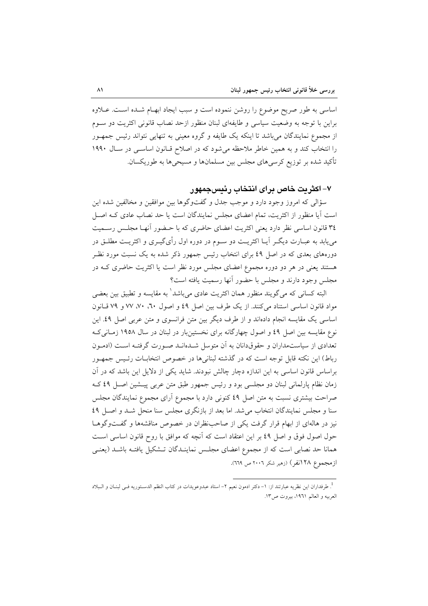اساسی به طور صریح موضوع را روشن ننموده است و سبب ایجاد ابهـام شـده اسـت. عــلاوه براین با توجه به وضعیت سیاسی و طایفهای لبنان منظور ازحد نصاب قانونی اکثریت دو سـوم از مجموع نمایندگان میباشد تا اینکه یک طایفه و گروه معینی به تنهایی نتواند رئیس جمهـور را انتخاب کند و به همین خاطر ملاحظه میشود که در اصلاح قبانون اساسی در سال ۱۹۹۰ تأکید شده بر توزیع کرسیهای مجلس بین مسلمانها و مسیحیها به طوریکسان.

#### ۷– اکثریت خاص برای انتخاب رئیسجمهور

سؤالي كه امروز وجود دارد و موجب جدل و گفتوگوها بين موافقين و مخالفين شده اين است آیا منظور از اکثریت، تمام اعضای مجلس نمایندگان است یا حد نصاب عادی کـه اصـل ٣٤ قانون اساسي نظر دارد يعني اكثريت اعضاي حاضري كه با حـضور أنهـا مجلـس رسـميت می یابد به عبــارت دیگــر آیــا اکثریــت دو ســوم در دوره اول رأی&ــری و اکثریــت مطلــق در دورههای بعدی که در اصل ٤٩ برای انتخاب رئیس جمهور ذکر شده به یک نسبت مورد نظـر هستند یعنی در هر دو دوره مجموع اعضای مجلس مورد نظر است یا اکثریت حاضری کـه در مجلس وجود دارند و مجلس با حضور آنها رسمیت یافته است؟

البته کسانی که می گویند منظور همان اکثریت عادی می<sub>،</sub>باشد<sup>\</sup> به مقایسه و تطبیق بین بعضی مواد قانون اساسی استناد میکنند. از یک طرف بین اصل ٤٩ و اصول ٦٠، ٧٠، ٧٧ و ٧٩ قـانون اساسی یک مقایسه انجام دادهاند و از طرف دیگر بین متن فرانسوی و متن عربی اصل ٤٩. این نوع مقایسه بین اصل ٤٩ و اصول چهارگانه برای نخستینبار در لبنان در سال ١٩٥٨ زمـانی کـه تعدادی از سیاستمداران و حقوقدانان به آن متوسل شـدهانـد صـورت گرفتـه اسـت (ادمـون رباط) این نکته قابل توجه است که در گذشته لبنانیها در خصوص انتخابـات رئـیس جمهـور براساس قانون اساسی به این اندازه دچار چالش نبودند. شاید یکی از دلایل این باشد که در آن زمان نظام پارلمانی لبنان دو مجلسی بود و رئیس جمهور طبق متن عربی پیـشین اصـل ٤٩ کـه صراحت بیشتری نسبت به متن اصل ٤٩ کنونی دارد با مجموع آرای مجموع نمایندگان مجلس سنا و مجلس نمایندگان انتخاب می شد. اما بعد از بازنگری مجلس سنا منحل شـد و اصـل ٤٩ نیز در هالهای از ابهام قرار گرفت یکی از صاحب نظران در خصوص مناقشهها و گفتوگوهـا حول اصول فوق و اصل ٤٩ بر اين اعتقاد است كه أنچه كه موافق با روح قانون اساسي است همانا حد نصابی است که از مجموع اعضای مجلس نماینـدگان تـشکیل یافتـه باشـد (یعنـی ازمجموع ۱۲۸نفر) (زهیر شکر ۲۰۰۲ ص ۲۱۹).

<sup>&</sup>lt;sup>1</sup>. طرفداران اين نظريه عبارتند از: ١– دكتر ادمون نعيم ٢– استاد عبدوعويدات در كتاب النظم الدسـتوريه فــى لبنــان و الــبلاد العربيه و العالم ١٩٦١، بيروت ص١٣.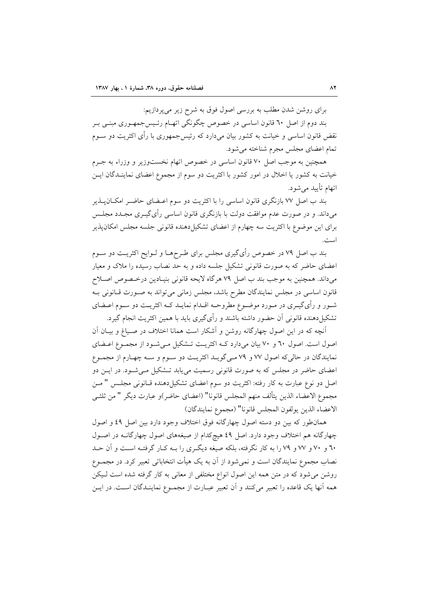برای روشن شدن مطلب به بررسی اصول فوق به شرح زیر میپردازیم:

بند دوم از اصل ٦٠ قانون اساسی در خصوص چگونگی اتهــام رئــیس جمهــوری مبنــی بــر نقض قانون اساسی و خیانت به کشور بیان میدارد که رئیس جمهوری با رأی اکثریت دو ســوم تمام اعضای مجلس مجرم شناخته می شود.

همچنین به موجب اصل ۷۰ قانون اساسی در خصوص اتهام نخستوزیر و وزراء به جـرم خیانت به کشور یا اخلال در امور کشور با اکثریت دو سوم از مجموع اعضای نماینـدگان ایـن اتھام تأييد مي شو د.

بند ب اصل ۷۷ بازنگری قانون اساسی را با اکثریت دو سوم اعـضای حاضـر امکــان۱یــذیر میداند. و در صورت عدم موافقت دولت با بازنگری قانون اساسی رأی گیــری مجــدد مجلــس برای این موضوع با اکثریت سه چهارم از اعضای تشکیل دهنده قانونی جلسه مجلس امکان پذیر است.

بند ب اصل ۷۹ در خصوص رأیگیری مجلس برای طـرحهــا و لــوایح اکثریــت دو ســوم اعضای حاضر که به صورت قانونی تشکیل جلسه داده و به حد نصاب رسیده را ملاک و معیار مي داند. همچنين به موجب بند ب اصل ٧٩ هرگاه لايحه قانوني بنيـادين درخـصوص اصـلاح قانون اساسی در مجلس نمایندگان مطرح باشد، مجلس زمانی می تواند به صـورت قـانونی بـه شـور و رأىگيـرى در مـورد موضـوع مطروحـه اقـدام نمايـد كـه اكثريـت دو سـوم اعـضاى تشکیلِ دهنده قانونی آن حضور داشته باشند و رأیگیری باید با همین اکثریت انجام گیرد.

أنچه که در این اصول چهارگانه روشن و اَشکار است همانا اختلاف در صـیاغ و بیــان اَن اصول است. اصول ٦٠ و ٧٠ بيان ميدارد كـه اكثريـت تـشكيل مـي شـود از مجمـوع اعـضاي نمایندگان در حالیکه اصول ۷۷ و ۷۹ مـیگویـد اکثریـت دو سـوم و سـه چهـارم از مجمـوع اعضای حاضر در مجلس که به صورت قانونی رسمیت می یابد تـشکیل مـیشـود. در ایــن دو اصل دو نوع عبارت به كار رفته: اكثريت دو سوم اعضاي تشكيلدهنده قـانوني مجلـس " مـن مجموع الاعضاء الذين يتألف منهم المجلس قانونا" (اعضاى حاضر)و عبارت ديگر " من ثلثـي الاعضاء الذين يولفون المجلس قانونا" (مجموع نمايندگان)

همان طور كه بين دو دسته اصول چهارگانه فوق اختلاف وجود دارد بين اصل ٤٩ و اصول چهارگانه هم اختلاف وجود دارد. اصل ٤٩ هيچكدام از صيغههاي اصول چهارگانـه در اصـول ۲۰ و ۷۰ و ۷۷ و ۷۹ را به کار نگرفته، بلکه صیغه دیگری را بـه کـار گرفتـه اسـت و آن حـد نصاب مجموع نمایندگان است و نمی شود از آن به یک هیأت انتخاباتی تعبیر کرد. در مجمــوع روشن می شود که در متن همه این اصول انواع مختلفی از معانی به کار گرفته شده است لـیکن همه آنها یک قاعده را تعبیر میکنند و آن تعبیر عبـارت از مجمـوع نماینــدگان اسـت. در ایــن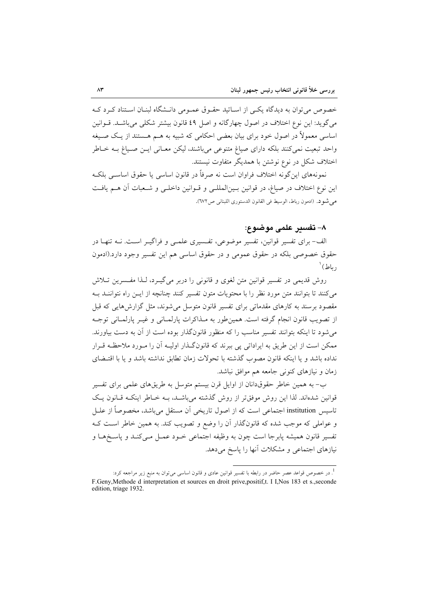خصوص می توان به دیدگاه یکبی از اسـاتید حقـوق عمـومی دانـشگاه لبنـان اسـتناد کـرد کـه مي گويد: اين نوع اختلاف در اصول چهار گانه و اصل ٤٩ قانون بيشتر شكلي مي باشـد. قــوانين اساسی معمولاً در اصول خود برای بیان بعضی احکامی که شبیه به هــم هــستند از یــک صــیغه واحد تبعیت نمیکنند بلکه دارای صیاغ متنوعی میباشند، لیکن معـانی ایـن صـیاغ بـه خـاطر اختلاف شکل در نوع نوشتن با همدیگر متفاوت نیستند.

نمونههای این گونه اختلاف فراوان است نه صرفاً در قانون اساسی یا حقوق اساســی بلکـه این نوع اختلاف در صیاغ، در قوانین بـینالمللـی و قـوانین داخلـی و شـعبات آن هـم یافـت مي شو د. (ادمون رباط، الوسيط في القانون الدستوري اللبناني ص١٧٢).

#### ٨– تفسير علمي موضوع:

الف- برای تفسیر قوانین، تفسیر موضوعی، تفسیری علمـی و فراگیـر اسـت. نــه تنهـا در حقوق خصوصی بلکه در حقوق عمومی و در حقوق اساسی هم این تفسیر وجود دارد.(ادمون  $^{\backprime}$ رياط  $^{\backprime}$ 

روش قديمي در تفسير قوانين متن لغوي و قانوني را دربر مي گيـرد، لـذا مفـسرين تــلاش می کنند تا بتوانند متن مورد نظر را با محتویات متون تفسیر کنند چنانچه از ایــن راه نتواننــد بــه مقصود برسند به کارهای مقدماتی برای تفسیر قانون متوسل می شوند، مثل گزارش هایی که قبل از تصويب قانون انجام گرفته است. همين طور به مـذاكرات پارلمـاني و غيـر پارلمـاني توجـه می شود تا اینکه بتوانند تفسیر مناسب را که منظور قانونگذار بوده است از آن به دست بیاورند. ممکن است از این طریق به ایراداتی پی ببرند که قانونگذار اولیـه آن را مـورد ملاحظـه قـرار نداده باشد و یا اینکه قانون مصوب گذشته با تحولات زمان تطابق نداشته باشد و یا با اقتـضای زمان و نیازهای کنونی جامعه هم موافق نباشد.

ب- به همین خاطر حقوقدانان از اوایل قرن بیستم متوسل به طریقهای علمی برای تفسیر قوانین شدهاند. لذا این روش موفق تر از روش گذشته می باشـد، بــه خــاطر اینکــه قــانون یــک تاسیس institution اجتماعی است که از اصول تاریخی آن مستقل میباشد، مخصوصاً از علــل و عواملی که موجب شده که قانونگذار آن را وضع و تصویب کند. به همین خاطر اسـت کـه تفسير قانون هميشه پابرجا است چون به وظيفه اجتماعي خـود عمـل مـيكنـد و پاسـخهـا و نیازهای اجتماعی و مشکلات آنها را پاسخ میدهد.

<sup>.&</sup>lt;br>در خصوص قواعد عصر حاضر در رابطه با تفسیر قوانین عادی و قانون اساسی میتوان به منبع زیر مراجعه کرد: F.Geny, Methode d interpretation et sources en droit prive, positif,t. I I, Nos 183 et s., seconde edition, triage 1932.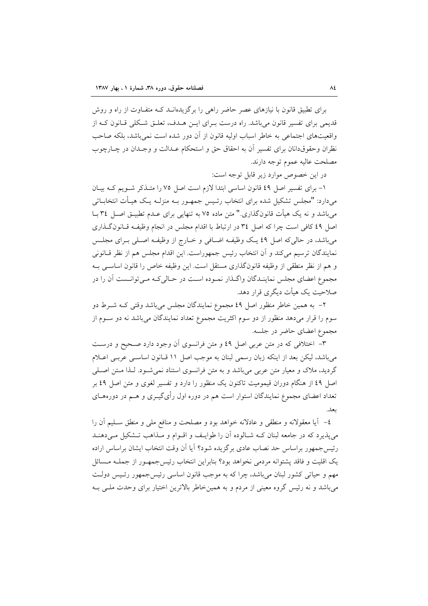برای تطبیق قانون با نیازهای عصر حاضر راهی را برگزیدهانـد کـه متفــاوت از راه و روش قدیمی برای تفسیر قانون می باشد. راه درست بـرای ایـن هـدف، تعلـق شـکلی قـانون کـه از واقعیتهای اجتماعی به خاطر اسباب اولیه قانون از آن دور شده است نمی باشد، بلکه صاحب نظران وحقوق دانان برای تفسیر آن به احقاق حق و استحکام عـدالت و وجـدان در چـارچوب مصلحت عاليه عموم توجه دارند.

در اين خصوص موارد زير قابل توجه است:

۱- برای تفسیر اصل ٤٩ قانون اساسی ابتدا لازم است اصل ٧٥ را متـذکر شـویم کـه بیـان میدارد: "مجلس تشکیل شده برای انتخاب رئـیس جمهـور بــه منزلــه یـک هیــأت انتخابــاتی میباشد و نه یک هیأت قانونگذاری." متن ماده ۷۵ به تنهایی برای عــدم تطبیــق اصــل ۳٤ بــا اصل ٤٩ كافي است چرا كه اصل ٣٤ در ارتباط با اقدام مجلس در انجام وظيف وقانون گـذاري می باشد، در حالی که اصل ٤٩ یک وظیف اضافی و خـارج از وظیف اصـلی بـرای مجلـس نمایندگان ترسیم میکند و آن انتخاب رئیس جمهوراست. این اقدام مجلس هم از نظر قــانونی و هم از نظر منطقی از وظیفه قانونگذاری مستقل است. این وظیفه خاص را قانون اساسی بـه مجموع اعضای مجلس نماینـدگان واگـذار نمـوده اسـت در حـالی کـه مـی توانـست آن را در صلاحیت یک هیأت دیگری قرار دهد.

۲– به همین خاطر منظور اصل ٤٩ مجموع نمایندگان مجلس میباشد وقتی کـه شــرط دو سوم را قرار میدهد منظور از دو سوم اکثریت مجموع تعداد نمایندگان میباشد نه دو سـوم از مجموع اعضای حاضر در جلسه.

۳– اختلافی که در متن عربی اصل ٤٩ و متن فرانسوی اَن وجود دارد صـحیح و درسـت می باشد، لیکن بعد از اینکه زبان رسمی لبنان به موجب اصل ١١ قـانون اساسـی عربـی اعـلام گردید، ملاک و معیار متن عربی میباشد و به متن فرانسوی استناد نمی شـود. لـذا مـتن اصـلی اصل ٤٩ از هنگام دوران قیمومیت تاکنون یک منظور را دارد و تفسیر لغوی و متن اصل ٤٩ بر تعداد اعضای مجموع نمایندگان استوار است هم در دوره اول رأیگیــری و هــم در دورههــای ىعلى.

٤- آيا معقولانه و منطقى و عادلانه خواهد بود و مصلحت و منافع ملى و منطق سـليم آن را می پذیرد که در جامعه لبنان کـه شـالوده آن را طوایـف و اقــوام و مــذاهب تــشکیل مــیدهنــد رئيس جمهور براساس حد نصاب عادي برگزيده شود؟ آيا آن وقت انتخاب ايشان براساس اراده یک اقلیت و فاقد پشتوانه مردمی نخواهد بود؟ بنابراین انتخاب رئیس جمهـور از جملــه مــسائل مهم و حیاتی کشور لبنان میباشد، چرا که به موجب قانون اساسی رئیس جمهور رئـیس دولـت می باشد و نه رئیس گروه معینی از مردم و به همینخاطر بالاترین اختیار برای وحدت ملـی بـه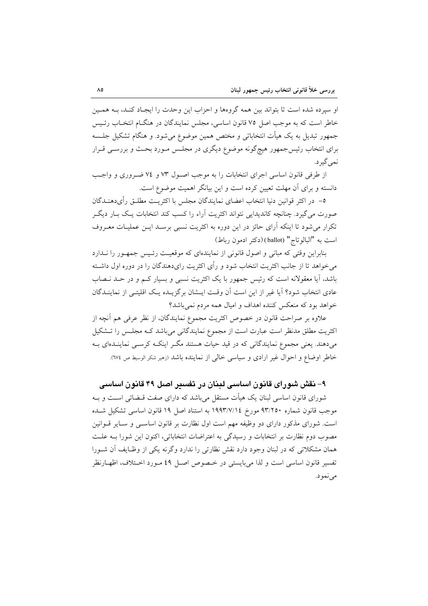او سیرده شده است تا بتواند بین همه گروهها و احزاب این وحدت را ایجـاد کنـد، بــه همـین خاطر است که به موجب اصل ۷۵ قانون اساسی، مجلس نمایندگان در هنگIم انتخـاب رئـیس جمهور تبدیل به یک هیأت انتخاباتی و مختص همین موضوع میشود. و هنگام تشکیل جلسه برای انتخاب رئیسجمهور هیچگونه موضوع دیگری در مجلـس مـورد بحـث و بررســی قــرار نمي گير د.

از طرفي قانون اساسي اجراي انتخابات را به موجب اصـول ٧٣ و ٧٤ ضـروري و واجـب دانسته و برای آن مهلت تعیین کرده است و این بیانگر اهمیت موضوع است.

٥– در اكثر قوانين دنيا انتخاب اعضاي نمايندگان مجلس با اكثريـت مطلـق رأىدهنــدگان صورت میگیرد. چنانچه کاندیدایی نتواند اکثریت آراء را کسب کند انتخابات یک بـار دیگـر تکرار می شود تا اینکه آرای حائز در این دوره به اکثریت نسبی برسـد ایــن عملیــات معــروف است به "البالوتاج" (ballot) (دكتر ادمون رباط)

بنابراین وقتی که مبانی و اصول قانونی از نمایندهای که موقعیت رئیس جمهور را نـدارد می خواهد تا از جانب اکثریت انتخاب شود و رأی اکثریت رایدهندگان را در دوره اول داشته باشد، آیا معقولانه است که رئیس جمهور با یک اکثریت نسبی و بسیار کـم و در حـد نـصاب عادی انتخاب شود؟ آیا غیر از این است آن وقت ایسشان برگزیـده یـک اقلیتـی از نماینـدگان خواهد بود که منعکس کننده اهداف و امیال همه مردم نمی باشد؟

علاوه بر صراحت قانون در خصوص اکثریت مجموع نمایندگان، از نظر عرفی هم آنچه از اکثریت مطلق مدنظر است عبارت است از مجموع نمایندگانی میباشد کـه مجلـس را تـشکیل میدهند. یعنی مجموع نمایندگانی که در قید حیات هستند مگـر اینکـه کرسـی نماینـدهای بـه خاطر اوضاع و احوال غیر ارادی و سیاسی خالی از نماینده باشد (زهیر شکر الوسیط ص ٦٧٤).

## ۹– نقش شورای قانون اساسی لبنان در تفسیر اصل ۴۹ قانون اساسی

شورای قانون اساسی لبنان یک هیأت مستقل می باشد که دارای صفت قبضائی است و بـه موجب قانون شماره ۹۳/۲٥۰ مورخ ۱۹۹۳/۷/۱٤ به استناد اصل ۱۹ قانون اساسبي تشكيل شـده است. شورای مذکور دارای دو وظیفه مهم است اول نظارت بر قانون اساسـی و سـایر قــوانین مصوب دوم نظارت بر انتخابات و رسیدگی به اعتراضات انتخاباتی، اکنون این شورا بــه علــت همان مشکلاتی که در لبنان وجود دارد نقش نظارتی را ندارد وگرنه یکی از وظـایف آن شـورا تفسير قانون اساسي است و لذا مي بايستي در خـصوص اصـل ٤٩ مـورد اخــتلاف، اظهــارنظر مي نمو د.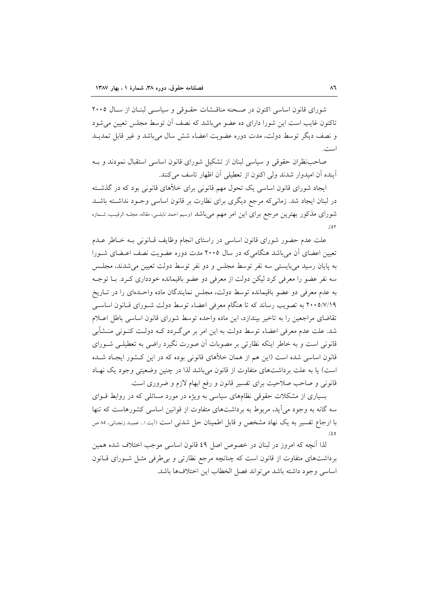شورای قانون اساسی اکنون در صحنه مناقشات حقوقی و سیاستی لبنیان از سیال ۲۰۰۵ تاکنون غایب است این شورا دارای ده عضو می باشد که نصف آن توسط مجلس تعیین می شود و نصف دیگر توسط دولت، مدت دوره عضویت اعضاء شش سال میباشد و غیر قابل تمدیــد است.

صاحب نظران حقوقی و سیاسی لبنان از تشکیل شورای قانون اساسی استقبال نمودند و بـه آينده أن اميدوار شدند ولي اكنون از تعطيلي أن اظهار تاسف مي كنند.

ایجاد شورای قانون اساسی یک تحول مهم قانونی برای خلأهای قانونی بود که در گذشته در لبنان ایجاد شد. زمانی که مرجع دیگری برای نظارت بر قانون اساسی وجـود نداشـته باشـد شورای مذکور بهترین مرجع برای این امر مهم میباشد (وسیم احمد نابلسی، مقاله، مجلـه الرقیـب، شـماره  $(0)$ 

علت عدم حضور شورای قانون اساسی در راستای انجام وظایف قـانونی بـه خـاطر عـدم تعیین اعضای آن میباشد هنگامیکه در سال ۲۰۰۵ مدت دوره عضویت نصف اعـضای شــورا به پایان رسید میبایستی سه نفر توسط مجلس و دو نفر توسط دولت تعیین می شدند، مجلس سه نفر عضو را معرفی کرد لیکن دولت از معرفی دو عضو باقیمانده خودداری کـرد. بـا توجـه به عدم معرفی دو عضو باقیمانده توسط دولت، مجلس نمایندگان ماده واحـدهای را در تـاریخ ۲۰۰۵/۷/۱۹ به تصویب رساند که تا هنگام معرفی اعضاء توسط دولت شـورای قـانون اساسـی تقاضاي مراجعين را به تاخير بيندازد، اين ماده واحده توسط شوراي قانون اساسي باطل اعبلام شد. علت عدم معرفی اعضاء توسط دولت به این امر بر می گـردد کــه دولــت کنــونی منــشأبی قانونی است و به خاطر اینکه نظارتی بر مصوبات آن صورت نگیرد راضی به تعطیلــی شــورای قانون اساسی شده است (این هم از همان خلأهای قانونی بوده که در این کـشور ایجـاد شــده است) یا به علت برداشتهای متفاوت از قانون می باشد لذا در چنین وضعیتی وجود یک نهـاد قانونی و صاحب صلاحیت برای تفسیر قانون و رفع ابهام لازم و ضروری است.

بسیاری از مشکلات حقوقی نظامهای سیاسی به ویژه در مورد مسائلی که در روابط قـوای سه گانه به وجود می آید، مربوط به برداشتهای متفاوت از قوانین اساسی کشورهاست که تنها با ارجاع تفسیر به یک نهاد مشخص و قابل اطمینان حل شدنی است (آیت ا… عمید زنجانی، ۸۰ ص  $(60$ 

لذا آنچه که امروز در لبنان در خصوص اصل ٤٩ قانون اساسی موجب اختلاف شده همین برداشتهای متفاوت از قانون است که چنانچه مرجع نظارتی و بی طرفی مثــل شــورای قــانون اساسي وجود داشته باشد مي تواند فصل الخطاب اين اختلافها باشد.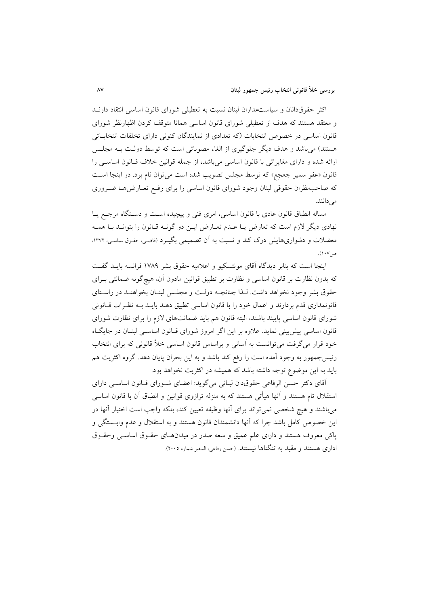اکثر حقوقدانان و سیاستمداران لبنان نسبت به تعطیلی شورای قانون اساسی انتقاد دارنـد و معتقد هستند که هدف از تعطیلی شورای قانون اساسی همانا متوقف کردن اظهارنظر شورای قانون اساسی در خصوص انتخابات (که تعدادی از نمایندگان کنونی دارای تخلفات انتخاباتی هستند) میباشد و هدف دیگر جلوگیری از الغاء مصوباتی است که توسط دولت بـه مجلـس ارائه شده و دارای مغایراتی با قانون اساسی میباشد، از جمله قوانین خلاف قـانون اساســی را قانون «عفو سمير جعجع» كه توسط مجلس تصويب شده است مي توان نام برد. در اينجا است که صاحب نظران حقوقی لبنان وجود شورای قانون اساسی را برای رفع تعـارض۵هـا ضـروری می دانند.

مساله انطباق قانون عادي با قانون اساسي، امري فني و پيچيده است و دستگاه مرجع يـا نهادي ديگر لازم است كه تعارض يــا عــدم تعــارض ايــن دو گونــه قــانون را بتوانــد بــا همــه معضلات و دشواریهایش درک کند و نسبت به آن تصمیمی بگیـرد (قاضـی، حقـوق سیاسـی، ۱۳۷۲. ص ۱۰۷).

اینجا است که بنابر دیدگاه آقای مونتسکیو و اعلامیه حقوق بشر ۱۷۸۹ فرانسه بایـد گفـت که بدون نظارت بر قانون اساسی و نظارت بر تطبیق قوانین مادون آن، هیچگونه ضمانتی بـرای حقوق بشر وجود نخواهد داشت. لـذا چنانچـه دولـت و مجلـس لبنـان بخواهنـد در راسـتاي قانونمداری قدم بردارند و اعمال خود را با قانون اساسی تطبیق دهند بایــد بــه نظـرات قــانونی شورای قانون اساسی پایبند باشند، البته قانون هم باید ضمانتهای لازم را برای نظارت شورای قانون اساسی پیش بینی نماید. علاوه بر این اگر امروز شورای قـانون اساســی لبنــان در جایگــاه خود قرار میگرفت می توانست به آسانی و براساس قانون اساسی خلأ قانونی که برای انتخاب رئیس جمهور به وجود آمده است را رفع کند باشد و به این بحران پایان دهد. گروه اکثریت هم باید به این موضوع توجه داشته باشد که همیشه در اکثریت نخواهد بود.

آقای دکتر حسن الرفاعی حقوقدان لبنانی میگوید: اعضای شـورای قـانون اساسـی دارای استقلال تام هستند و آنها هیأتی هستند که به منزله ترازوی قوانین و انطباق آن با قانون اساسی می باشند و هیچ شخصی نمی تواند برای آنها وظیفه تعیین کند، بلکه واجب است اختیار آنها در این خصوص کامل باشد چرا که آنها دانشمندان قانون هستند و به استقلال و عدم وابـــستگی و پاکی معروف هستند و دارای علم عمیق و سعه صدر در میدانهای حقـوق اساسـم وحقـوق اداری هستند و مقید به تنگناها نیستند. (حسن رفاعی، السفیر شماره ۲۰۰۵).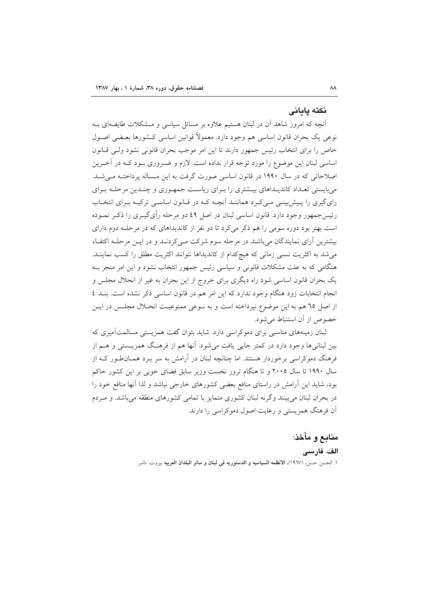#### نكته بادانى

أنچه که امروز شاهد آن در لبنان هستیم علاوه بر مسائل سیاسی و مـشکلات طایفـهای بـه نوعی یک بحران قانون اساسی هم وجود دارد. معمولاً قوانین اساسی کـشورها بعـضی اصـول خاص را برای انتخاب رئیس جمهور دارند تا این امر موجب بحران قانونی نشود ولبی قبانون اساسی لبنان این موضوع را مورد توجه قرار نداده است. لازم و ضـروری بـود کــه در آخـرین اصلاحاتی که در سال ۱۹۹۰ در قانون اساسی صورت گرفت به این مساله پرداخته می شد. میبایستی تعـداد کاندیـداهای بیـشتری را بـرای ریاسـت جمهوری و چنـدین مرحلـه بـرای رای گیری را پیش بینے مے کے د هماننـد آنچـه کـه در قـانون اساسـی ترکیـه بـرای انتخـاب رئیس جمهور وجود دارد. قانون اساسی لبنان در اصل ٤٩ دو مرحله رأیگیــری را ذکــر نمــوده است بهتر بود دوره سومی را هم ذکر میکرد تا دو نفر از کاندیداهای که در مرحلـه دوم دارای بیشترین آرای نمایندگان می باشند در مرحله سوم شرکت مـی کردنـد و در ایـن مرحلـه اکتفـاء می شد به اکثریت نسبی زمانی که هیچکدام از کاندیداها نتوانند اکثریت مطلق را کسب نماینـد. هنگامی که به علت مشکلات قانونی و سیاسی رئیس جمهور انتخاب نشود و این امر منجر بـه یک بحران قانون اساسی شود راه دیگری برای خروج از این بحران به غیر از انحلال مجلس و انجام انتخابات زود هنگام وجود ندارد که این امر هم در قانون اساسی ذکر نشده است. بنـد ٤ از اصل ٦٥ هم به اين موضوع نپرداخته است و به نــوعي ممنوعيــت انحــلال مجلــس در ايــن خصوص از آن استنباط می شود.

لبنان زمینههای مناسبی برای دموکراسی دارد. شاید بتوان گفت همزیستی مسالمتآمیزی که بین لبنانیها وجود دارد در کمتر جایی یافت می شود. آنها هم از فرهنگ همزیـستی و هــم از فرهنگ دموکراسی برخوردار هستند. اما چنانچه لبنان در آرامش به سر ببرد همــانطـور کــه از سال ۱۹۹۰ تا سال ۲۰۰۵ و تا هنگام ترور نخست وزیر سابق فضای خوبی بر این کشور حاکم بود، شاید این آرامش در راستای منافع بعضی کشورهای خارجی نباشد و لذا آنها منافع خود را در بحران لبنان می بینند و گرنه لبنان کشوری متمایز با تمامی کشورهای منطقه می باشد. و میردم اّن فرهنگ همزیستی و رعایت اصول دموکراسی را دارند.

> منابع و مأخذ: الف. فارسى ١. الحسن حسن، (١٩٦٧)، الانظمه السياسيه و الدستوريه في لبنان و سائر البلدان العربيه بيروت: ناشر.